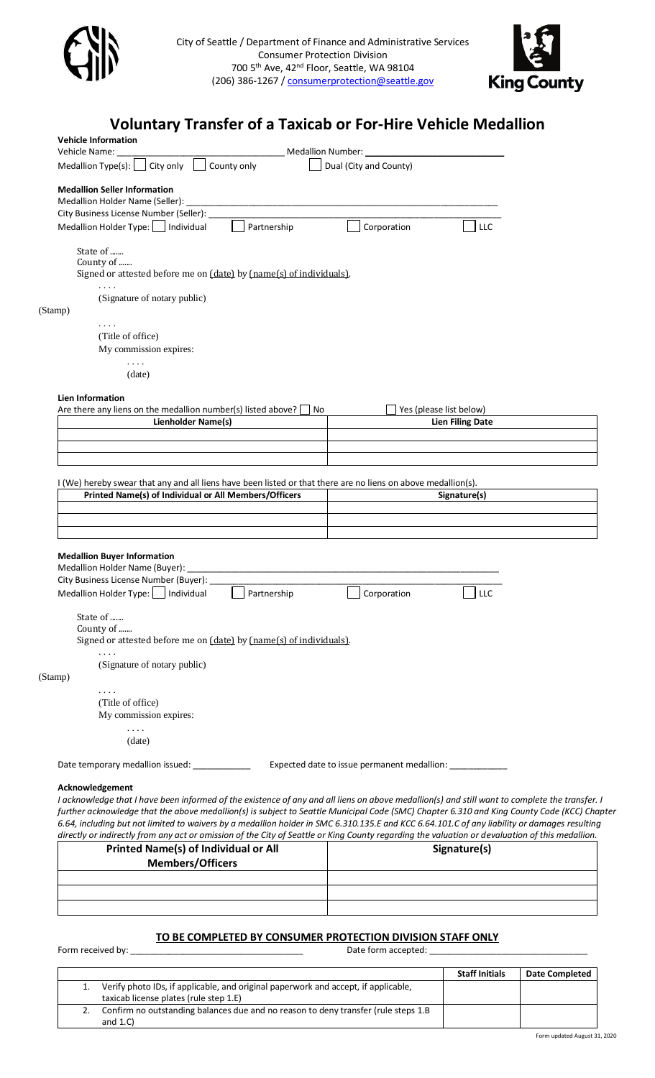



## **Voluntary Transfer of a Taxicab or For-Hire Vehicle Medallion**

| <b>Vehicle Information</b>                                                                                                                                             |                                                                                                                                                                                                                                                                                             |
|------------------------------------------------------------------------------------------------------------------------------------------------------------------------|---------------------------------------------------------------------------------------------------------------------------------------------------------------------------------------------------------------------------------------------------------------------------------------------|
| Vehicle Name:<br>Medallion Type(s): $\Box$<br>County only<br>City only                                                                                                 | Medallion Number: _______________<br>Dual (City and County)                                                                                                                                                                                                                                 |
| <b>Medallion Seller Information</b>                                                                                                                                    |                                                                                                                                                                                                                                                                                             |
| Medallion Holder Name (Seller):                                                                                                                                        |                                                                                                                                                                                                                                                                                             |
| City Business License Number (Seller):                                                                                                                                 |                                                                                                                                                                                                                                                                                             |
| Medallion Holder Type:     Individual<br>Partnership                                                                                                                   | Corporation<br>LLC                                                                                                                                                                                                                                                                          |
| State of<br>County of<br>Signed or attested before me on [date] by [name[s] of individuals].                                                                           |                                                                                                                                                                                                                                                                                             |
| $\cdot$ $\cdot$ $\cdot$<br>(Signature of notary public)                                                                                                                |                                                                                                                                                                                                                                                                                             |
| (Stamp)                                                                                                                                                                |                                                                                                                                                                                                                                                                                             |
| $\sim$ $\sim$ $\sim$ $\sim$<br>(Title of office)                                                                                                                       |                                                                                                                                                                                                                                                                                             |
| My commission expires:                                                                                                                                                 |                                                                                                                                                                                                                                                                                             |
| $\sim$ $\sim$ $\sim$                                                                                                                                                   |                                                                                                                                                                                                                                                                                             |
| (date)                                                                                                                                                                 |                                                                                                                                                                                                                                                                                             |
| <b>Lien Information</b>                                                                                                                                                |                                                                                                                                                                                                                                                                                             |
| Are there any liens on the medallion number(s) listed above? $\Box$ No                                                                                                 | Yes (please list below)                                                                                                                                                                                                                                                                     |
| <b>Lienholder Name(s)</b>                                                                                                                                              | <b>Lien Filing Date</b>                                                                                                                                                                                                                                                                     |
|                                                                                                                                                                        |                                                                                                                                                                                                                                                                                             |
|                                                                                                                                                                        |                                                                                                                                                                                                                                                                                             |
|                                                                                                                                                                        |                                                                                                                                                                                                                                                                                             |
| I (We) hereby swear that any and all liens have been listed or that there are no liens on above medallion(s).<br>Printed Name(s) of Individual or All Members/Officers | Signature(s)                                                                                                                                                                                                                                                                                |
|                                                                                                                                                                        |                                                                                                                                                                                                                                                                                             |
|                                                                                                                                                                        |                                                                                                                                                                                                                                                                                             |
|                                                                                                                                                                        |                                                                                                                                                                                                                                                                                             |
| <b>Medallion Buyer Information</b>                                                                                                                                     |                                                                                                                                                                                                                                                                                             |
| Medallion Holder Name (Buyer):                                                                                                                                         |                                                                                                                                                                                                                                                                                             |
| City Business License Number (Buyer):<br>Medallion Holder Type:     Individual<br>Partnership                                                                          | Corporation<br>LLC                                                                                                                                                                                                                                                                          |
|                                                                                                                                                                        |                                                                                                                                                                                                                                                                                             |
| State of<br>County of<br>Signed or attested before me on (date) by (name(s) of individuals).                                                                           |                                                                                                                                                                                                                                                                                             |
|                                                                                                                                                                        |                                                                                                                                                                                                                                                                                             |
| (Signature of notary public)<br>(Stamp)                                                                                                                                |                                                                                                                                                                                                                                                                                             |
| $\cdots$                                                                                                                                                               |                                                                                                                                                                                                                                                                                             |
| (Title of office)                                                                                                                                                      |                                                                                                                                                                                                                                                                                             |
| My commission expires:                                                                                                                                                 |                                                                                                                                                                                                                                                                                             |
| $\sim$ $\sim$ $\sim$<br>(date)                                                                                                                                         |                                                                                                                                                                                                                                                                                             |
| Date temporary medallion issued:                                                                                                                                       | Expected date to issue permanent medallion: _____________                                                                                                                                                                                                                                   |
| Acknowledgement                                                                                                                                                        |                                                                                                                                                                                                                                                                                             |
|                                                                                                                                                                        | I acknowledge that I have been informed of the existence of any and all liens on above medallion(s) and still want to complete the transfer. I                                                                                                                                              |
|                                                                                                                                                                        | further acknowledge that the above medallion(s) is subject to Seattle Municipal Code (SMC) Chapter 6.310 and King County Code (KCC) Chapter<br>6.64, including but not limited to waivers by a medallion holder in SMC 6.310.135.E and KCC 6.64.101.C of any liability or damages resulting |
| <b>Printed Name(s) of Individual or All</b>                                                                                                                            | directly or indirectly from any act or omission of the City of Seattle or King County regarding the valuation or devaluation of this medallion.<br>Signature(s)                                                                                                                             |
|                                                                                                                                                                        |                                                                                                                                                                                                                                                                                             |

# **Members/Officers**

## **TO BE COMPLETED BY CONSUMER PROTECTION DIVISION STAFF ONLY**

Form received by: \_\_\_\_\_\_\_\_\_\_\_\_\_\_\_\_\_\_\_\_\_\_\_\_\_\_\_\_\_\_\_\_\_\_\_\_ Date form accepted: \_\_\_\_\_\_\_\_\_\_\_\_\_\_\_\_\_\_\_\_\_\_\_\_\_\_\_\_\_\_\_\_\_

|                                                                                     | <b>Staff Initials</b> | <b>Date Completed</b> |
|-------------------------------------------------------------------------------------|-----------------------|-----------------------|
| Verify photo IDs, if applicable, and original paperwork and accept, if applicable,  |                       |                       |
| taxicab license plates (rule step 1.E)                                              |                       |                       |
| Confirm no outstanding balances due and no reason to deny transfer (rule steps 1.B) |                       |                       |
| and $1.C$ )                                                                         |                       |                       |